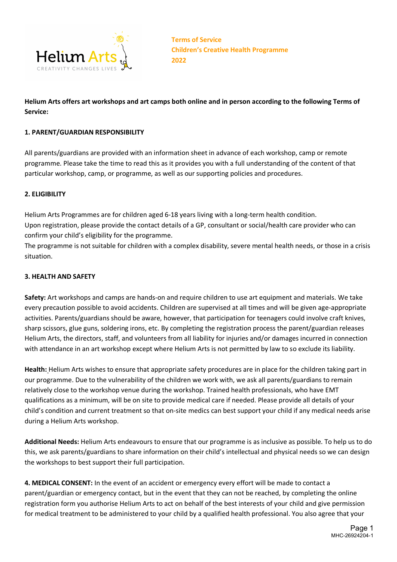

# **Helium Arts offers art workshops and art camps both online and in person according to the following Terms of Service:**

### **1. PARENT/GUARDIAN RESPONSIBILITY**

All parents/guardians are provided with an information sheet in advance of each workshop, camp or remote programme. Please take the time to read this as it provides you with a full understanding of the content of that particular workshop, camp, or programme, as well as our supporting policies and procedures.

#### **2. ELIGIBILITY**

Helium Arts Programmes are for children aged 6-18 years living with a long-term health condition. Upon registration, please provide the contact details of a GP, consultant or social/health care provider who can confirm your child's eligibility for the programme.

The programme is not suitable for children with a complex disability, severe mental health needs, or those in a crisis situation.

#### **3. HEALTH AND SAFETY**

**Safety:** Art workshops and camps are hands-on and require children to use art equipment and materials. We take every precaution possible to avoid accidents. Children are supervised at all times and will be given age-appropriate activities. Parents/guardians should be aware, however, that participation for teenagers could involve craft knives, sharp scissors, glue guns, soldering irons, etc. By completing the registration process the parent/guardian releases Helium Arts, the directors, staff, and volunteers from all liability for injuries and/or damages incurred in connection with attendance in an art workshop except where Helium Arts is not permitted by law to so exclude its liability.

**Health:** Helium Arts wishes to ensure that appropriate safety procedures are in place for the children taking part in our programme. Due to the vulnerability of the children we work with, we ask all parents/guardians to remain relatively close to the workshop venue during the workshop. Trained health professionals, who have EMT qualifications as a minimum, will be on site to provide medical care if needed. Please provide all details of your child's condition and current treatment so that on-site medics can best support your child if any medical needs arise during a Helium Arts workshop.

**Additional Needs:** Helium Arts endeavours to ensure that our programme is as inclusive as possible. To help us to do this, we ask parents/guardians to share information on their child's intellectual and physical needs so we can design the workshops to best support their full participation.

**4. MEDICAL CONSENT:** In the event of an accident or emergency every effort will be made to contact a parent/guardian or emergency contact, but in the event that they can not be reached, by completing the online registration form you authorise Helium Arts to act on behalf of the best interests of your child and give permission for medical treatment to be administered to your child by a qualified health professional. You also agree that your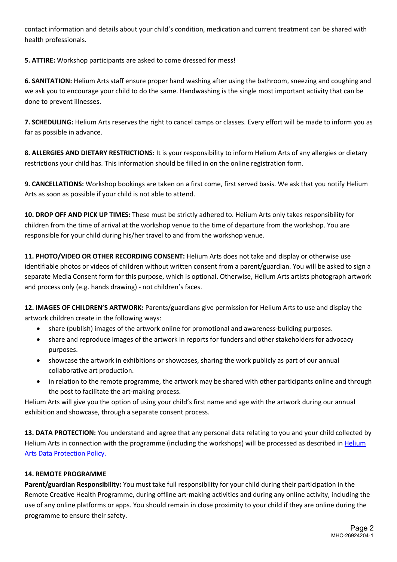contact information and details about your child's condition, medication and current treatment can be shared with health professionals.

**5. ATTIRE:** Workshop participants are asked to come dressed for mess!

**6. SANITATION:** Helium Arts staff ensure proper hand washing after using the bathroom, sneezing and coughing and we ask you to encourage your child to do the same. Handwashing is the single most important activity that can be done to prevent illnesses.

**7. SCHEDULING:** Helium Arts reserves the right to cancel camps or classes. Every effort will be made to inform you as far as possible in advance.

**8. ALLERGIES AND DIETARY RESTRICTIONS:** It is your responsibility to inform Helium Arts of any allergies or dietary restrictions your child has. This information should be filled in on the online registration form.

**9. CANCELLATIONS:** Workshop bookings are taken on a first come, first served basis. We ask that you notify Helium Arts as soon as possible if your child is not able to attend.

**10. DROP OFF AND PICK UP TIMES:** These must be strictly adhered to. Helium Arts only takes responsibility for children from the time of arrival at the workshop venue to the time of departure from the workshop. You are responsible for your child during his/her travel to and from the workshop venue.

**11. PHOTO/VIDEO OR OTHER RECORDING CONSENT:** Helium Arts does not take and display or otherwise use identifiable photos or videos of children without written consent from a parent/guardian. You will be asked to sign a separate Media Consent form for this purpose, which is optional. Otherwise, Helium Arts artists photograph artwork and process only (e.g. hands drawing) - not children's faces.

**12. IMAGES OF CHILDREN'S ARTWORK:** Parents/guardians give permission for Helium Arts to use and display the artwork children create in the following ways:

- share (publish) images of the artwork online for promotional and awareness-building purposes.
- share and reproduce images of the artwork in reports for funders and other stakeholders for advocacy purposes.
- showcase the artwork in exhibitions or showcases, sharing the work publicly as part of our annual collaborative art production.
- in relation to the remote programme, the artwork may be shared with other participants online and through the post to facilitate the art-making process.

Helium Arts will give you the option of using your child's first name and age with the artwork during our annual exhibition and showcase, through a separate consent process.

**13. DATA PROTECTION:** You understand and agree that any personal data relating to you and your child collected by Helium Arts in connection with the programme (including the workshops) will be processed as described in Helium Arts Data Protection Policy.

## **14. REMOTE PROGRAMME**

**Parent/guardian Responsibility:** You must take full responsibility for your child during their participation in the Remote Creative Health Programme, during offline art-making activities and during any online activity, including the use of any online platforms or apps. You should remain in close proximity to your child if they are online during the programme to ensure their safety.